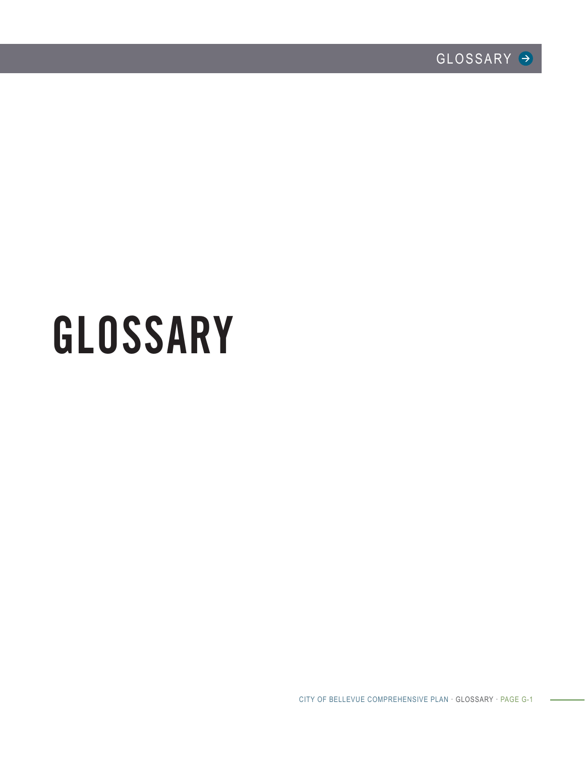# GLOSSARY

CITY OF BELLEVUE COMPREHENSIVE PLAN · GLOSSARY · PAGE G-1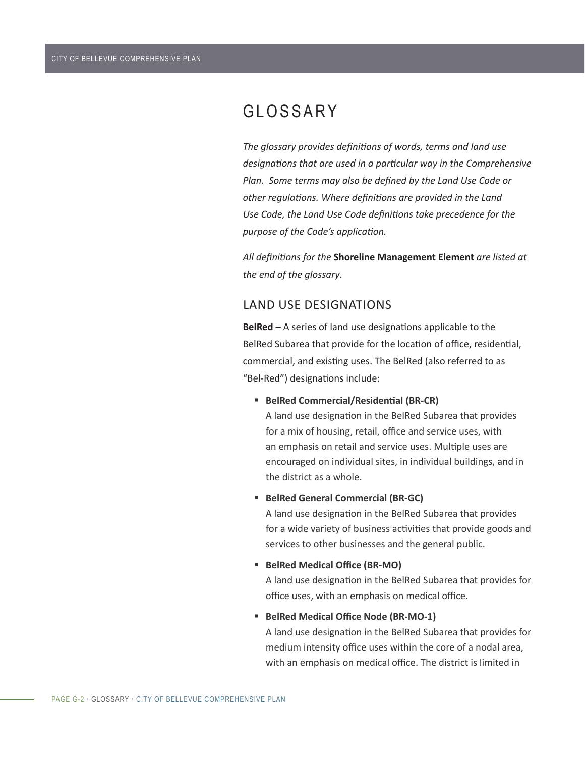# GLOSSARY

*The glossary provides definitions of words, terms and land use designations that are used in a particular way in the Comprehensive Plan. Some terms may also be defined by the Land Use Code or other regulations. Where definitions are provided in the Land Use Code, the Land Use Code definitions take precedence for the purpose of the Code's application.*

*All definitions for the* **Shoreline Management Element** *are listed at the end of the glossary*.

# LAND USE DESIGNATIONS

**BelRed** – A series of land use designations applicable to the BelRed Subarea that provide for the location of office, residential, commercial, and existing uses. The BelRed (also referred to as "Bel-Red") designations include:

**BelRed Commercial/Residential (BR-CR)** 

A land use designation in the BelRed Subarea that provides for a mix of housing, retail, office and service uses, with an emphasis on retail and service uses. Multiple uses are encouraged on individual sites, in individual buildings, and in the district as a whole.

#### **BelRed General Commercial (BR-GC)**

A land use designation in the BelRed Subarea that provides for a wide variety of business activities that provide goods and services to other businesses and the general public.

#### **BelRed Medical Office (BR-MO)**

A land use designation in the BelRed Subarea that provides for office uses, with an emphasis on medical office.

#### **BelRed Medical Office Node (BR-MO-1)**

A land use designation in the BelRed Subarea that provides for medium intensity office uses within the core of a nodal area, with an emphasis on medical office. The district is limited in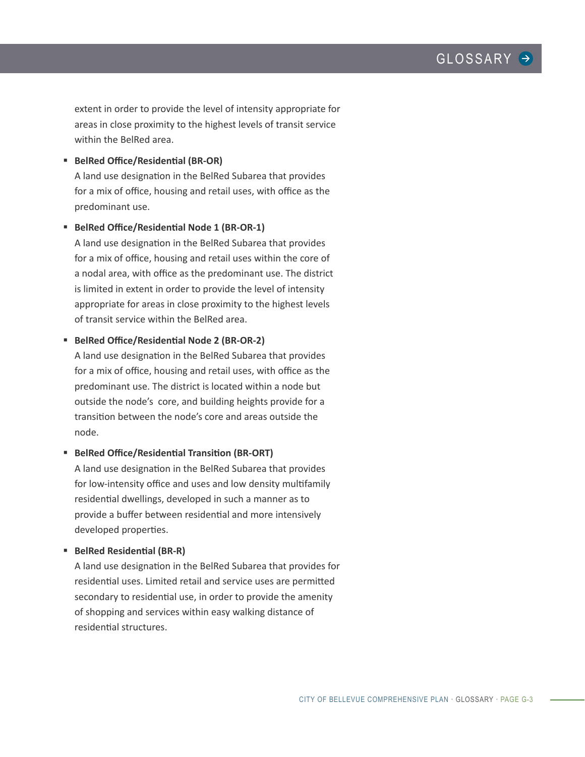extent in order to provide the level of intensity appropriate for areas in close proximity to the highest levels of transit service within the BelRed area.

**BelRed Office/Residential (BR-OR)** 

A land use designation in the BelRed Subarea that provides for a mix of office, housing and retail uses, with office as the predominant use.

**BelRed Office/Residential Node 1 (BR-OR-1)**

A land use designation in the BelRed Subarea that provides for a mix of office, housing and retail uses within the core of a nodal area, with office as the predominant use. The district is limited in extent in order to provide the level of intensity appropriate for areas in close proximity to the highest levels of transit service within the BelRed area.

#### **BelRed Office/Residential Node 2 (BR-OR-2)**

A land use designation in the BelRed Subarea that provides for a mix of office, housing and retail uses, with office as the predominant use. The district is located within a node but outside the node's core, and building heights provide for a transition between the node's core and areas outside the node.

## **BelRed Office/Residential Transition (BR-ORT)**

A land use designation in the BelRed Subarea that provides for low-intensity office and uses and low density multifamily residential dwellings, developed in such a manner as to provide a buffer between residential and more intensively developed properties.

#### **BelRed Residential (BR-R)**

A land use designation in the BelRed Subarea that provides for residential uses. Limited retail and service uses are permitted secondary to residential use, in order to provide the amenity of shopping and services within easy walking distance of residential structures.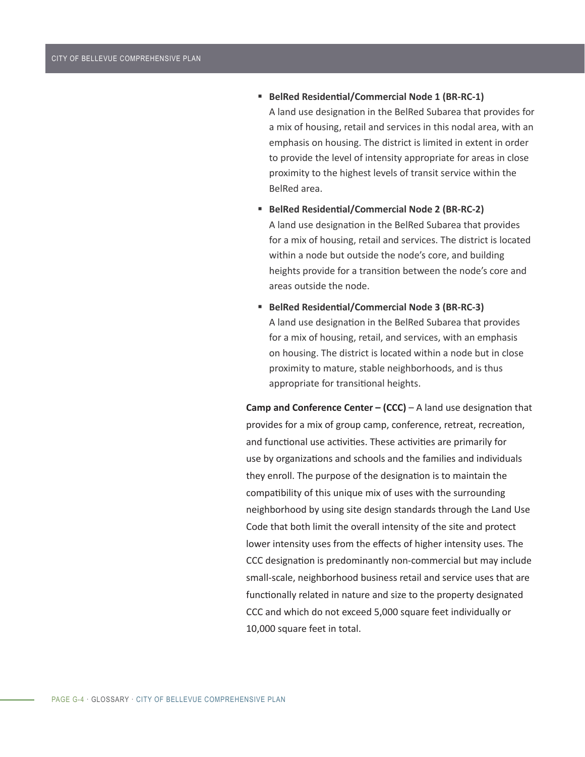- **BelRed Residential/Commercial Node 1 (BR-RC-1)** A land use designation in the BelRed Subarea that provides for a mix of housing, retail and services in this nodal area, with an emphasis on housing. The district is limited in extent in order to provide the level of intensity appropriate for areas in close proximity to the highest levels of transit service within the BelRed area.
- **BelRed Residential/Commercial Node 2 (BR-RC-2)** A land use designation in the BelRed Subarea that provides for a mix of housing, retail and services. The district is located within a node but outside the node's core, and building heights provide for a transition between the node's core and areas outside the node.
- **BelRed Residential/Commercial Node 3 (BR-RC-3)** A land use designation in the BelRed Subarea that provides for a mix of housing, retail, and services, with an emphasis on housing. The district is located within a node but in close proximity to mature, stable neighborhoods, and is thus appropriate for transitional heights.

**Camp and Conference Center – (CCC)** – A land use designation that provides for a mix of group camp, conference, retreat, recreation, and functional use activities. These activities are primarily for use by organizations and schools and the families and individuals they enroll. The purpose of the designation is to maintain the compatibility of this unique mix of uses with the surrounding neighborhood by using site design standards through the Land Use Code that both limit the overall intensity of the site and protect lower intensity uses from the effects of higher intensity uses. The CCC designation is predominantly non-commercial but may include small-scale, neighborhood business retail and service uses that are functionally related in nature and size to the property designated CCC and which do not exceed 5,000 square feet individually or 10,000 square feet in total.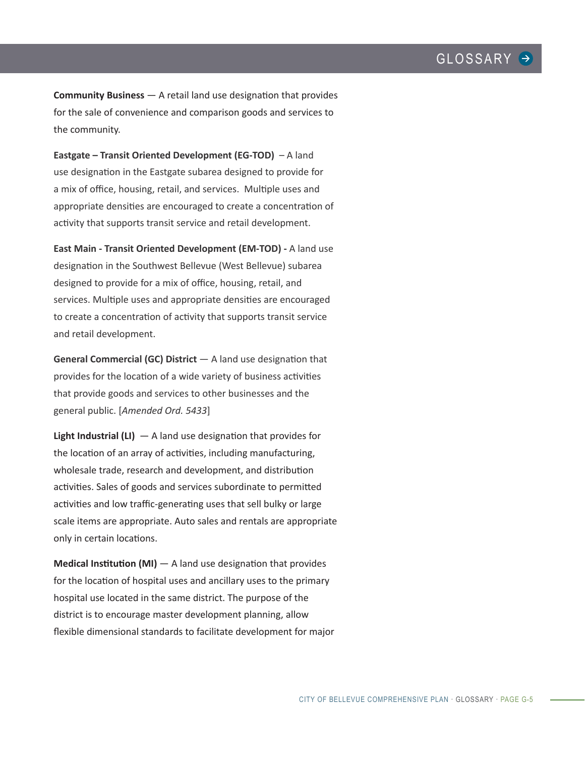**Community Business** — A retail land use designation that provides for the sale of convenience and comparison goods and services to the community.

**Eastgate – Transit Oriented Development (EG-TOD)** – A land use designation in the Eastgate subarea designed to provide for a mix of office, housing, retail, and services. Multiple uses and appropriate densities are encouraged to create a concentration of activity that supports transit service and retail development.

**East Main - Transit Oriented Development (EM-TOD) -** A land use designation in the Southwest Bellevue (West Bellevue) subarea designed to provide for a mix of office, housing, retail, and services. Multiple uses and appropriate densities are encouraged to create a concentration of activity that supports transit service and retail development.

**General Commercial (GC) District**  $-$  A land use designation that provides for the location of a wide variety of business activities that provide goods and services to other businesses and the general public. [*Amended Ord. 5433*]

**Light Industrial (LI)** — A land use designation that provides for the location of an array of activities, including manufacturing, wholesale trade, research and development, and distribution activities. Sales of goods and services subordinate to permitted activities and low traffic-generating uses that sell bulky or large scale items are appropriate. Auto sales and rentals are appropriate only in certain locations.

**Medical Institution (MI)** — A land use designation that provides for the location of hospital uses and ancillary uses to the primary hospital use located in the same district. The purpose of the district is to encourage master development planning, allow flexible dimensional standards to facilitate development for major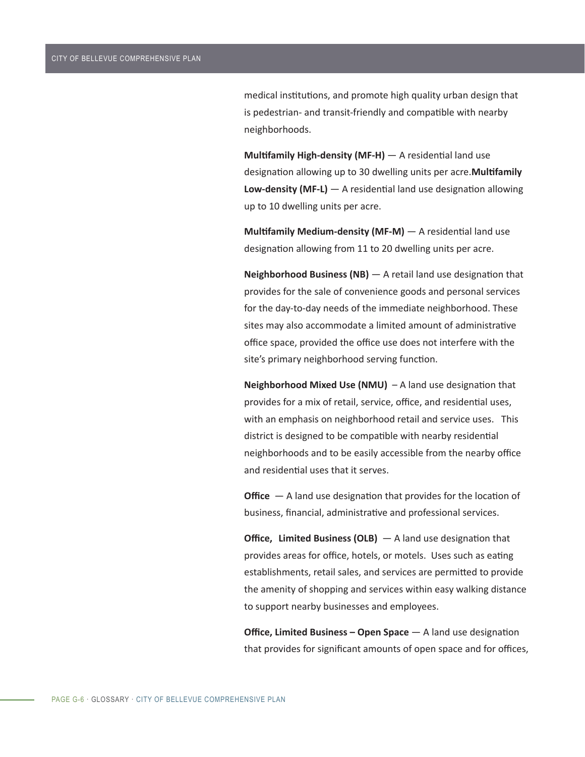medical institutions, and promote high quality urban design that is pedestrian- and transit-friendly and compatible with nearby neighborhoods.

**Multifamily High-density (MF-H)** — A residential land use designation allowing up to 30 dwelling units per acre.**Multifamily Low-density (MF-L)** — A residential land use designation allowing up to 10 dwelling units per acre.

**Multifamily Medium-density (MF-M)** — A residential land use designation allowing from 11 to 20 dwelling units per acre.

**Neighborhood Business (NB)** — A retail land use designation that provides for the sale of convenience goods and personal services for the day-to-day needs of the immediate neighborhood. These sites may also accommodate a limited amount of administrative office space, provided the office use does not interfere with the site's primary neighborhood serving function.

**Neighborhood Mixed Use (NMU)** – A land use designation that provides for a mix of retail, service, office, and residential uses, with an emphasis on neighborhood retail and service uses. This district is designed to be compatible with nearby residential neighborhoods and to be easily accessible from the nearby office and residential uses that it serves.

**Office** – A land use designation that provides for the location of business, financial, administrative and professional services.

**Office, Limited Business (OLB)** — A land use designation that provides areas for office, hotels, or motels. Uses such as eating establishments, retail sales, and services are permitted to provide the amenity of shopping and services within easy walking distance to support nearby businesses and employees.

**Office, Limited Business – Open Space** — A land use designation that provides for significant amounts of open space and for offices,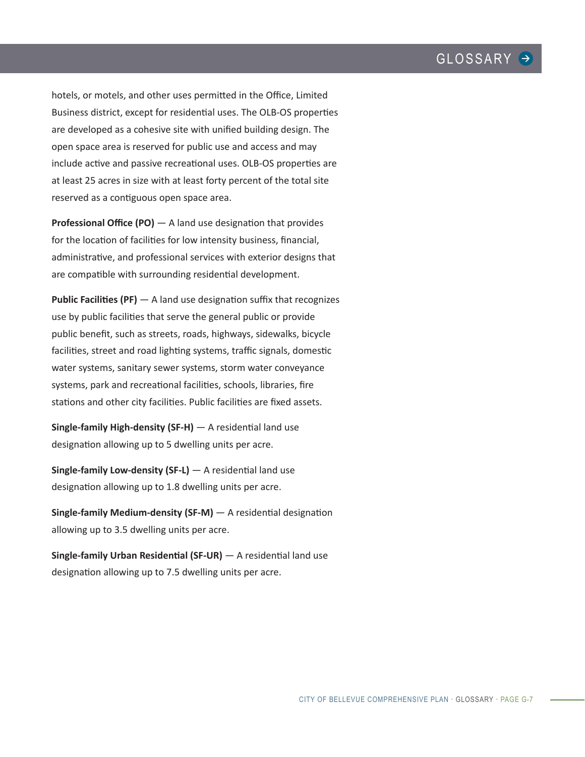hotels, or motels, and other uses permitted in the Office, Limited Business district, except for residential uses. The OLB-OS properties are developed as a cohesive site with unified building design. The open space area is reserved for public use and access and may include active and passive recreational uses. OLB-OS properties are at least 25 acres in size with at least forty percent of the total site reserved as a contiguous open space area.

**Professional Office (PO)** — A land use designation that provides for the location of facilities for low intensity business, financial, administrative, and professional services with exterior designs that are compatible with surrounding residential development.

**Public Facilities (PF)** — A land use designation suffix that recognizes use by public facilities that serve the general public or provide public benefit, such as streets, roads, highways, sidewalks, bicycle facilities, street and road lighting systems, traffic signals, domestic water systems, sanitary sewer systems, storm water conveyance systems, park and recreational facilities, schools, libraries, fire stations and other city facilities. Public facilities are fixed assets.

**Single-family High-density (SF-H)** — A residential land use designation allowing up to 5 dwelling units per acre.

**Single-family Low-density (SF-L)** — A residential land use designation allowing up to 1.8 dwelling units per acre.

**Single-family Medium-density (SF-M)** — A residential designation allowing up to 3.5 dwelling units per acre.

**Single-family Urban Residential (SF-UR)** — A residential land use designation allowing up to 7.5 dwelling units per acre.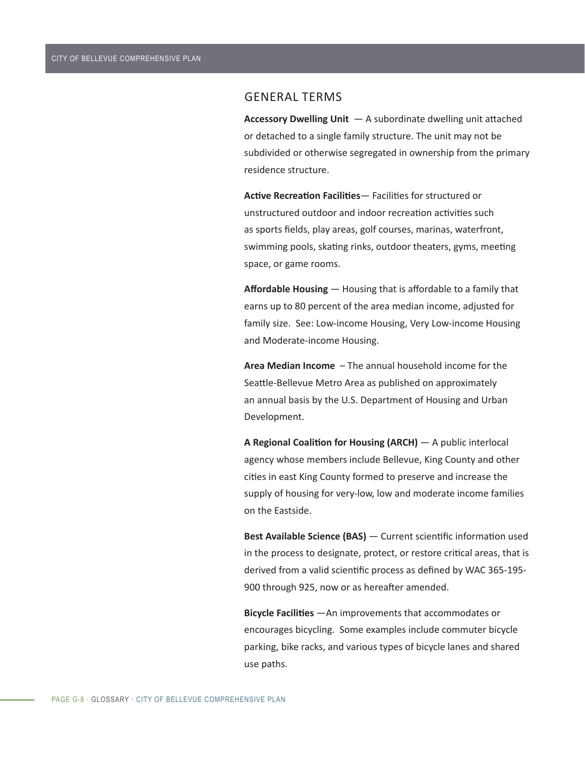## GENERAL TERMS

**Accessory Dwelling Unit** — A subordinate dwelling unit attached or detached to a single family structure. The unit may not be subdivided or otherwise segregated in ownership from the primary residence structure.

**Active Recreation Facilities**— Facilities for structured or unstructured outdoor and indoor recreation activities such as sports fields, play areas, golf courses, marinas, waterfront, swimming pools, skating rinks, outdoor theaters, gyms, meeting space, or game rooms.

**Affordable Housing** — Housing that is affordable to a family that earns up to 80 percent of the area median income, adjusted for family size. See: Low-income Housing, Very Low-income Housing and Moderate-income Housing.

**Area Median Income** – The annual household income for the Seattle-Bellevue Metro Area as published on approximately an annual basis by the U.S. Department of Housing and Urban Development.

**A Regional Coalition for Housing (ARCH)** — A public interlocal agency whose members include Bellevue, King County and other cities in east King County formed to preserve and increase the supply of housing for very-low, low and moderate income families on the Eastside.

**Best Available Science (BAS)** — Current scientific information used in the process to designate, protect, or restore critical areas, that is derived from a valid scientific process as defined by WAC 365-195- 900 through 925, now or as hereafter amended.

**Bicycle Facilities** —An improvements that accommodates or encourages bicycling. Some examples include commuter bicycle parking, bike racks, and various types of bicycle lanes and shared use paths.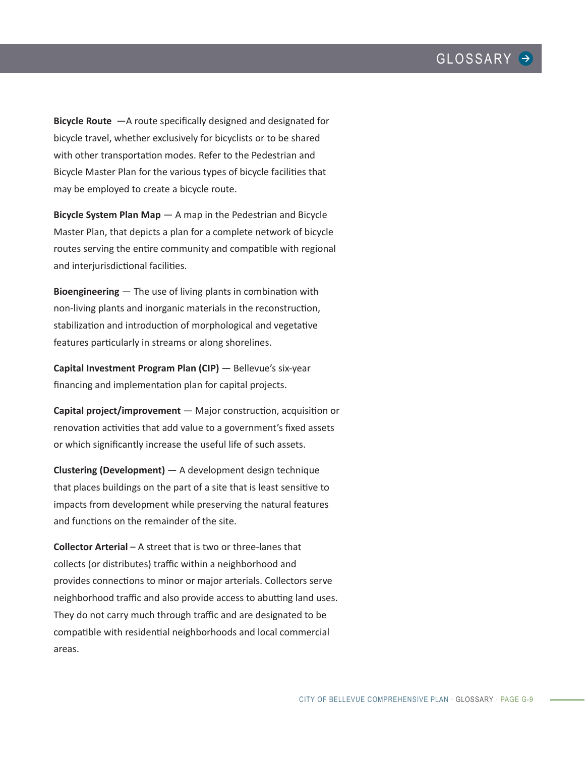**Bicycle Route** —A route specifically designed and designated for bicycle travel, whether exclusively for bicyclists or to be shared with other transportation modes. Refer to the Pedestrian and Bicycle Master Plan for the various types of bicycle facilities that may be employed to create a bicycle route.

**Bicycle System Plan Map** — A map in the Pedestrian and Bicycle Master Plan, that depicts a plan for a complete network of bicycle routes serving the entire community and compatible with regional and interjurisdictional facilities.

**Bioengineering** — The use of living plants in combination with non-living plants and inorganic materials in the reconstruction, stabilization and introduction of morphological and vegetative features particularly in streams or along shorelines.

**Capital Investment Program Plan (CIP)** — Bellevue's six-year financing and implementation plan for capital projects.

**Capital project/improvement** — Major construction, acquisition or renovation activities that add value to a government's fixed assets or which significantly increase the useful life of such assets.

**Clustering (Development)** — A development design technique that places buildings on the part of a site that is least sensitive to impacts from development while preserving the natural features and functions on the remainder of the site.

**Collector Arterial** – A street that is two or three-lanes that collects (or distributes) traffic within a neighborhood and provides connections to minor or major arterials. Collectors serve neighborhood traffic and also provide access to abutting land uses. They do not carry much through traffic and are designated to be compatible with residential neighborhoods and local commercial areas.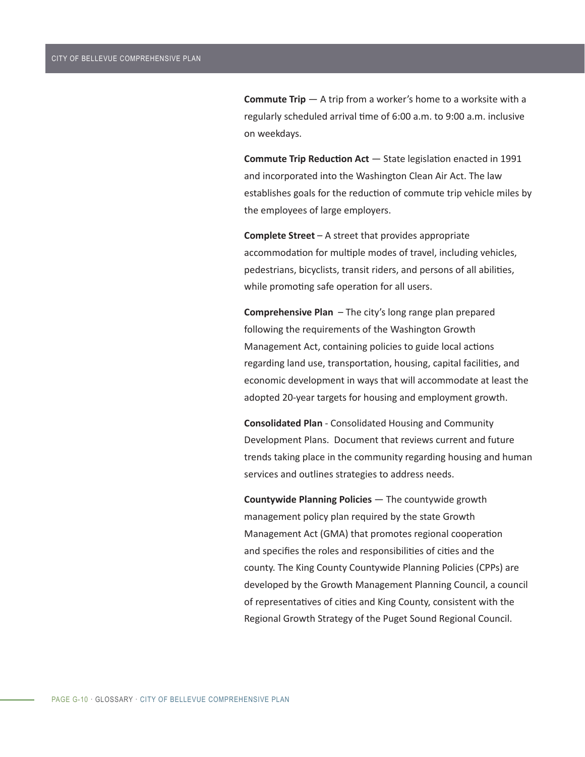**Commute Trip**  $-$  A trip from a worker's home to a worksite with a regularly scheduled arrival time of 6:00 a.m. to 9:00 a.m. inclusive on weekdays.

**Commute Trip Reduction Act** — State legislation enacted in 1991 and incorporated into the Washington Clean Air Act. The law establishes goals for the reduction of commute trip vehicle miles by the employees of large employers.

**Complete Street** – A street that provides appropriate accommodation for multiple modes of travel, including vehicles, pedestrians, bicyclists, transit riders, and persons of all abilities, while promoting safe operation for all users.

**Comprehensive Plan** – The city's long range plan prepared following the requirements of the Washington Growth Management Act, containing policies to guide local actions regarding land use, transportation, housing, capital facilities, and economic development in ways that will accommodate at least the adopted 20-year targets for housing and employment growth.

**Consolidated Plan** - Consolidated Housing and Community Development Plans. Document that reviews current and future trends taking place in the community regarding housing and human services and outlines strategies to address needs.

**Countywide Planning Policies** — The countywide growth management policy plan required by the state Growth Management Act (GMA) that promotes regional cooperation and specifies the roles and responsibilities of cities and the county. The King County Countywide Planning Policies (CPPs) are developed by the Growth Management Planning Council, a council of representatives of cities and King County, consistent with the Regional Growth Strategy of the Puget Sound Regional Council.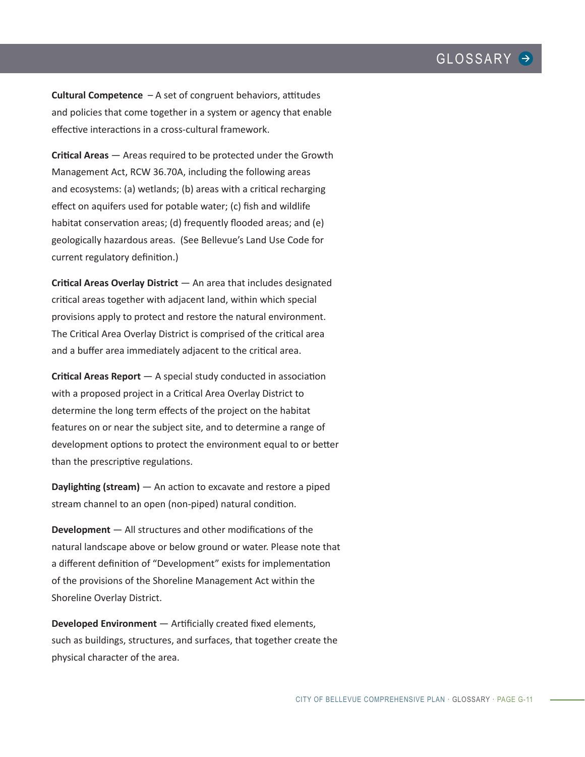**Cultural Competence** – A set of congruent behaviors, attitudes and policies that come together in a system or agency that enable effective interactions in a cross-cultural framework.

**Critical Areas** — Areas required to be protected under the Growth Management Act, RCW 36.70A, including the following areas and ecosystems: (a) wetlands; (b) areas with a critical recharging effect on aquifers used for potable water; (c) fish and wildlife habitat conservation areas; (d) frequently flooded areas; and (e) geologically hazardous areas. (See Bellevue's Land Use Code for current regulatory definition.)

**Critical Areas Overlay District** — An area that includes designated critical areas together with adjacent land, within which special provisions apply to protect and restore the natural environment. The Critical Area Overlay District is comprised of the critical area and a buffer area immediately adjacent to the critical area.

**Critical Areas Report** — A special study conducted in association with a proposed project in a Critical Area Overlay District to determine the long term effects of the project on the habitat features on or near the subject site, and to determine a range of development options to protect the environment equal to or better than the prescriptive regulations.

**Daylighting (stream)** — An action to excavate and restore a piped stream channel to an open (non-piped) natural condition.

**Development** — All structures and other modifications of the natural landscape above or below ground or water. Please note that a different definition of "Development" exists for implementation of the provisions of the Shoreline Management Act within the Shoreline Overlay District.

**Developed Environment** — Artificially created fixed elements, such as buildings, structures, and surfaces, that together create the physical character of the area.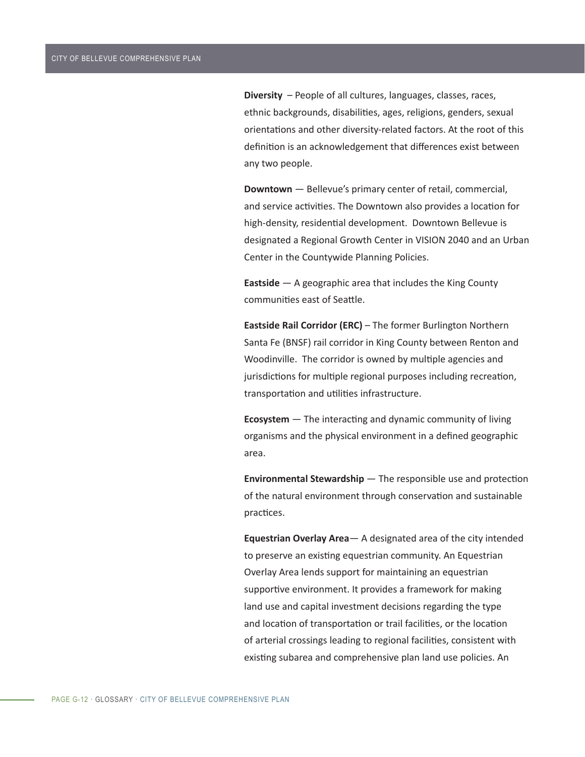**Diversity** – People of all cultures, languages, classes, races, ethnic backgrounds, disabilities, ages, religions, genders, sexual orientations and other diversity-related factors. At the root of this definition is an acknowledgement that differences exist between any two people.

**Downtown** — Bellevue's primary center of retail, commercial, and service activities. The Downtown also provides a location for high-density, residential development. Downtown Bellevue is designated a Regional Growth Center in VISION 2040 and an Urban Center in the Countywide Planning Policies.

**Eastside** — A geographic area that includes the King County communities east of Seattle.

**Eastside Rail Corridor (ERC)** – The former Burlington Northern Santa Fe (BNSF) rail corridor in King County between Renton and Woodinville. The corridor is owned by multiple agencies and jurisdictions for multiple regional purposes including recreation, transportation and utilities infrastructure.

**Ecosystem** — The interacting and dynamic community of living organisms and the physical environment in a defined geographic area.

**Environmental Stewardship** — The responsible use and protection of the natural environment through conservation and sustainable practices.

**Equestrian Overlay Area**— A designated area of the city intended to preserve an existing equestrian community. An Equestrian Overlay Area lends support for maintaining an equestrian supportive environment. It provides a framework for making land use and capital investment decisions regarding the type and location of transportation or trail facilities, or the location of arterial crossings leading to regional facilities, consistent with existing subarea and comprehensive plan land use policies. An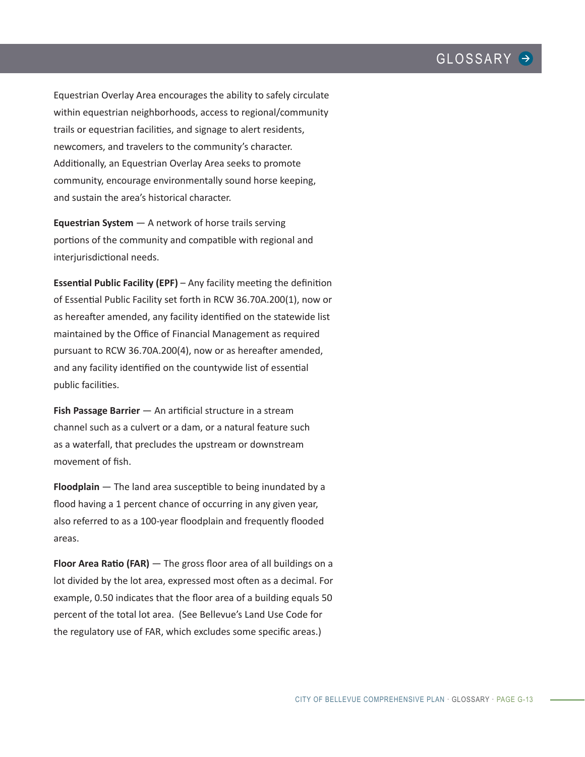Equestrian Overlay Area encourages the ability to safely circulate within equestrian neighborhoods, access to regional/community trails or equestrian facilities, and signage to alert residents, newcomers, and travelers to the community's character. Additionally, an Equestrian Overlay Area seeks to promote community, encourage environmentally sound horse keeping, and sustain the area's historical character.

**Equestrian System** — A network of horse trails serving portions of the community and compatible with regional and interjurisdictional needs.

**Essential Public Facility (EPF)** – Any facility meeting the definition of Essential Public Facility set forth in RCW 36.70A.200(1), now or as hereafter amended, any facility identified on the statewide list maintained by the Office of Financial Management as required pursuant to RCW 36.70A.200(4), now or as hereafter amended, and any facility identified on the countywide list of essential public facilities.

**Fish Passage Barrier** — An artificial structure in a stream channel such as a culvert or a dam, or a natural feature such as a waterfall, that precludes the upstream or downstream movement of fish.

**Floodplain** — The land area susceptible to being inundated by a flood having a 1 percent chance of occurring in any given year, also referred to as a 100-year floodplain and frequently flooded areas.

**Floor Area Ratio (FAR)** — The gross floor area of all buildings on a lot divided by the lot area, expressed most often as a decimal. For example, 0.50 indicates that the floor area of a building equals 50 percent of the total lot area. (See Bellevue's Land Use Code for the regulatory use of FAR, which excludes some specific areas.)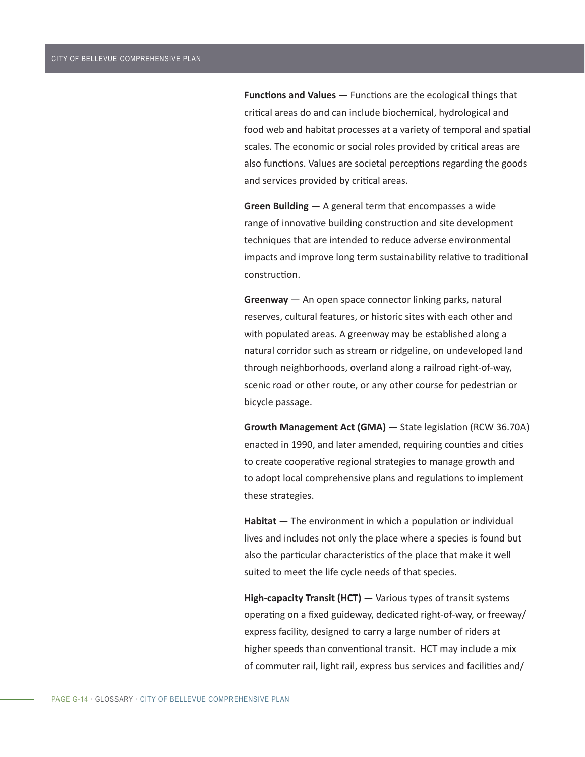**Functions and Values** — Functions are the ecological things that critical areas do and can include biochemical, hydrological and food web and habitat processes at a variety of temporal and spatial scales. The economic or social roles provided by critical areas are also functions. Values are societal perceptions regarding the goods and services provided by critical areas.

**Green Building** — A general term that encompasses a wide range of innovative building construction and site development techniques that are intended to reduce adverse environmental impacts and improve long term sustainability relative to traditional construction.

**Greenway** — An open space connector linking parks, natural reserves, cultural features, or historic sites with each other and with populated areas. A greenway may be established along a natural corridor such as stream or ridgeline, on undeveloped land through neighborhoods, overland along a railroad right-of-way, scenic road or other route, or any other course for pedestrian or bicycle passage.

**Growth Management Act (GMA)** — State legislation (RCW 36.70A) enacted in 1990, and later amended, requiring counties and cities to create cooperative regional strategies to manage growth and to adopt local comprehensive plans and regulations to implement these strategies.

**Habitat** — The environment in which a population or individual lives and includes not only the place where a species is found but also the particular characteristics of the place that make it well suited to meet the life cycle needs of that species.

**High-capacity Transit (HCT)** — Various types of transit systems operating on a fixed guideway, dedicated right-of-way, or freeway/ express facility, designed to carry a large number of riders at higher speeds than conventional transit. HCT may include a mix of commuter rail, light rail, express bus services and facilities and/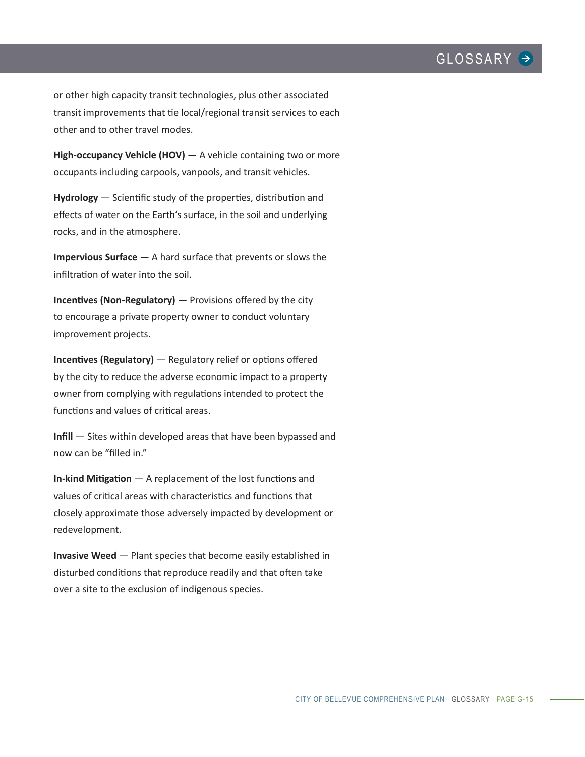or other high capacity transit technologies, plus other associated transit improvements that tie local/regional transit services to each other and to other travel modes.

**High-occupancy Vehicle (HOV)** — A vehicle containing two or more occupants including carpools, vanpools, and transit vehicles.

**Hydrology** — Scientific study of the properties, distribution and effects of water on the Earth's surface, in the soil and underlying rocks, and in the atmosphere.

**Impervious Surface** — A hard surface that prevents or slows the infiltration of water into the soil.

**Incentives (Non-Regulatory)** — Provisions offered by the city to encourage a private property owner to conduct voluntary improvement projects.

**Incentives (Regulatory)** — Regulatory relief or options offered by the city to reduce the adverse economic impact to a property owner from complying with regulations intended to protect the functions and values of critical areas.

**Infill** — Sites within developed areas that have been bypassed and now can be "filled in."

**In-kind Mitigation** — A replacement of the lost functions and values of critical areas with characteristics and functions that closely approximate those adversely impacted by development or redevelopment.

**Invasive Weed** — Plant species that become easily established in disturbed conditions that reproduce readily and that often take over a site to the exclusion of indigenous species.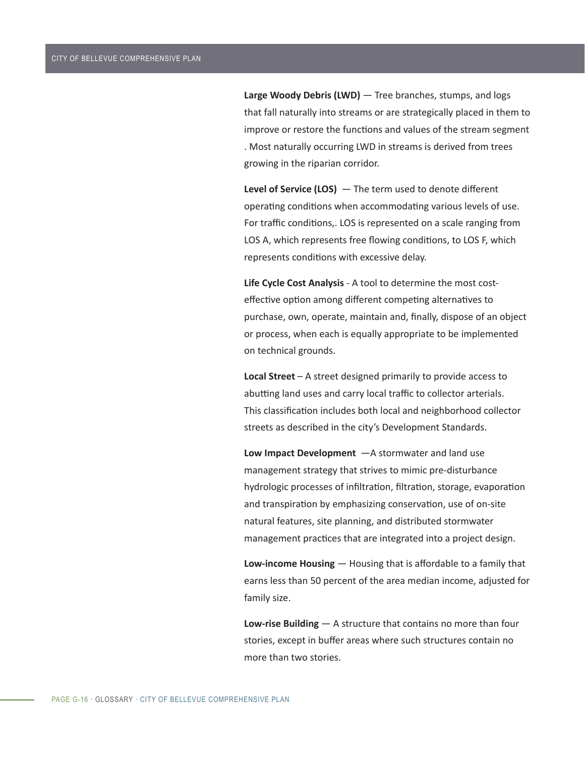**Large Woody Debris (LWD)** — Tree branches, stumps, and logs that fall naturally into streams or are strategically placed in them to improve or restore the functions and values of the stream segment . Most naturally occurring LWD in streams is derived from trees growing in the riparian corridor.

**Level of Service (LOS)** — The term used to denote different operating conditions when accommodating various levels of use. For traffic conditions,. LOS is represented on a scale ranging from LOS A, which represents free flowing conditions, to LOS F, which represents conditions with excessive delay.

**Life Cycle Cost Analysis** - A tool to determine the most costeffective option among different competing alternatives to purchase, own, operate, maintain and, finally, dispose of an object or process, when each is equally appropriate to be implemented on technical grounds.

**Local Street** – A street designed primarily to provide access to abutting land uses and carry local traffic to collector arterials. This classification includes both local and neighborhood collector streets as described in the city's Development Standards.

**Low Impact Development** —A stormwater and land use management strategy that strives to mimic pre-disturbance hydrologic processes of infiltration, filtration, storage, evaporation and transpiration by emphasizing conservation, use of on-site natural features, site planning, and distributed stormwater management practices that are integrated into a project design.

**Low-income Housing** — Housing that is affordable to a family that earns less than 50 percent of the area median income, adjusted for family size.

**Low-rise Building** — A structure that contains no more than four stories, except in buffer areas where such structures contain no more than two stories.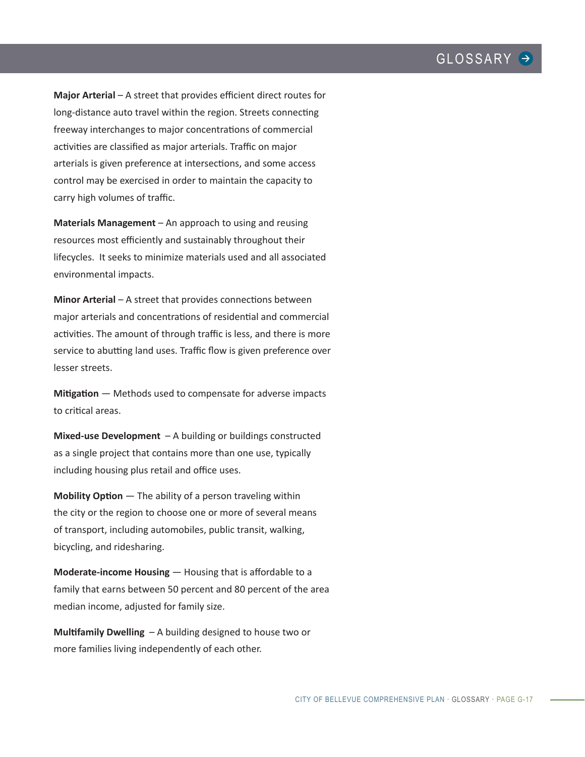**Major Arterial** – A street that provides efficient direct routes for long-distance auto travel within the region. Streets connecting freeway interchanges to major concentrations of commercial activities are classified as major arterials. Traffic on major arterials is given preference at intersections, and some access control may be exercised in order to maintain the capacity to carry high volumes of traffic.

**Materials Management** – An approach to using and reusing resources most efficiently and sustainably throughout their lifecycles. It seeks to minimize materials used and all associated environmental impacts.

**Minor Arterial** – A street that provides connections between major arterials and concentrations of residential and commercial activities. The amount of through traffic is less, and there is more service to abutting land uses. Traffic flow is given preference over lesser streets.

**Mitigation** — Methods used to compensate for adverse impacts to critical areas.

**Mixed-use Development** – A building or buildings constructed as a single project that contains more than one use, typically including housing plus retail and office uses.

**Mobility Option** — The ability of a person traveling within the city or the region to choose one or more of several means of transport, including automobiles, public transit, walking, bicycling, and ridesharing.

**Moderate-income Housing** — Housing that is affordable to a family that earns between 50 percent and 80 percent of the area median income, adjusted for family size.

**Multifamily Dwelling** – A building designed to house two or more families living independently of each other.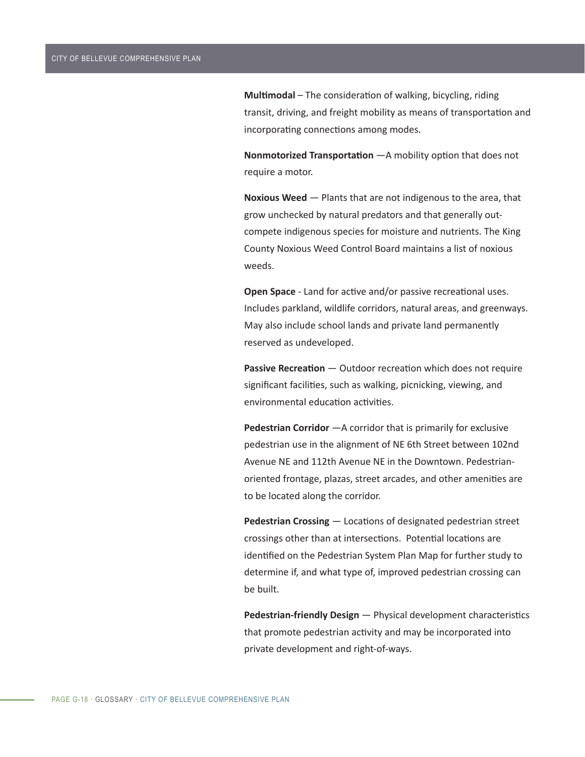**Multimodal** – The consideration of walking, bicycling, riding transit, driving, and freight mobility as means of transportation and incorporating connections among modes.

**Nonmotorized Transportation** —A mobility option that does not require a motor.

**Noxious Weed** — Plants that are not indigenous to the area, that grow unchecked by natural predators and that generally outcompete indigenous species for moisture and nutrients. The King County Noxious Weed Control Board maintains a list of noxious weeds.

**Open Space** - Land for active and/or passive recreational uses. Includes parkland, wildlife corridors, natural areas, and greenways. May also include school lands and private land permanently reserved as undeveloped.

**Passive Recreation** — Outdoor recreation which does not require significant facilities, such as walking, picnicking, viewing, and environmental education activities.

**Pedestrian Corridor** —A corridor that is primarily for exclusive pedestrian use in the alignment of NE 6th Street between 102nd Avenue NE and 112th Avenue NE in the Downtown. Pedestrianoriented frontage, plazas, street arcades, and other amenities are to be located along the corridor.

**Pedestrian Crossing** — Locations of designated pedestrian street crossings other than at intersections. Potential locations are identified on the Pedestrian System Plan Map for further study to determine if, and what type of, improved pedestrian crossing can be built.

**Pedestrian-friendly Design** — Physical development characteristics that promote pedestrian activity and may be incorporated into private development and right-of-ways.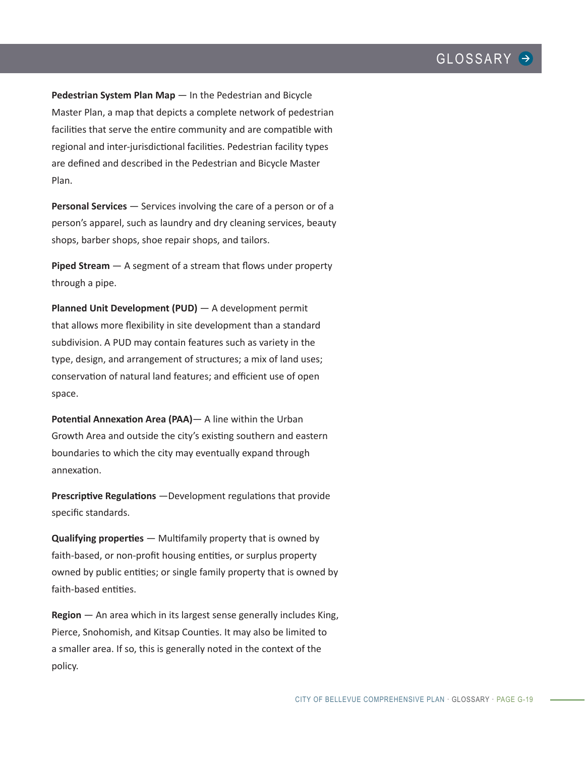**Pedestrian System Plan Map** — In the Pedestrian and Bicycle Master Plan, a map that depicts a complete network of pedestrian facilities that serve the entire community and are compatible with regional and inter-jurisdictional facilities. Pedestrian facility types are defined and described in the Pedestrian and Bicycle Master Plan.

**Personal Services** — Services involving the care of a person or of a person's apparel, such as laundry and dry cleaning services, beauty shops, barber shops, shoe repair shops, and tailors.

**Piped Stream** — A segment of a stream that flows under property through a pipe.

**Planned Unit Development (PUD)** — A development permit that allows more flexibility in site development than a standard subdivision. A PUD may contain features such as variety in the type, design, and arrangement of structures; a mix of land uses; conservation of natural land features; and efficient use of open space.

**Potential Annexation Area (PAA)**— A line within the Urban Growth Area and outside the city's existing southern and eastern boundaries to which the city may eventually expand through annexation.

**Prescriptive Regulations** —Development regulations that provide specific standards.

**Qualifying properties** — Multifamily property that is owned by faith-based, or non-profit housing entities, or surplus property owned by public entities; or single family property that is owned by faith-based entities.

**Region** — An area which in its largest sense generally includes King, Pierce, Snohomish, and Kitsap Counties. It may also be limited to a smaller area. If so, this is generally noted in the context of the policy.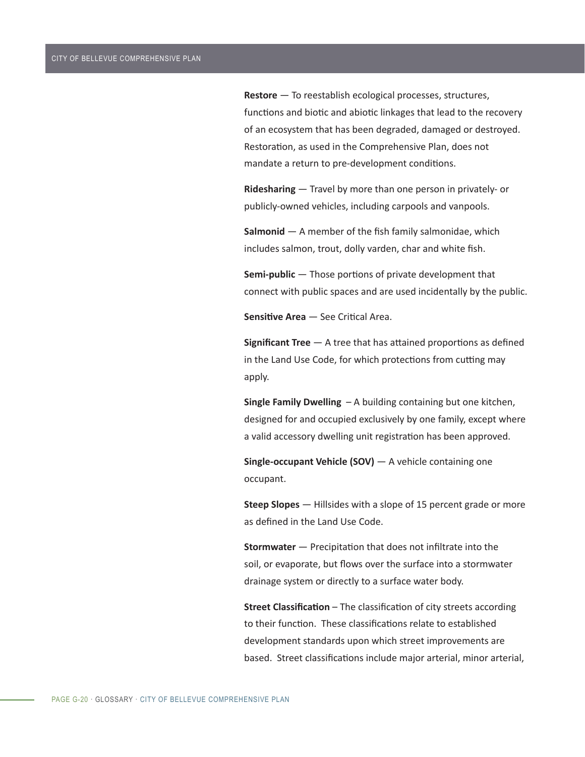**Restore** — To reestablish ecological processes, structures, functions and biotic and abiotic linkages that lead to the recovery of an ecosystem that has been degraded, damaged or destroyed. Restoration, as used in the Comprehensive Plan, does not mandate a return to pre-development conditions.

**Ridesharing** — Travel by more than one person in privately- or publicly-owned vehicles, including carpools and vanpools.

**Salmonid** — A member of the fish family salmonidae, which includes salmon, trout, dolly varden, char and white fish.

**Semi-public** — Those portions of private development that connect with public spaces and are used incidentally by the public.

**Sensitive Area** — See Critical Area.

**Significant Tree** — A tree that has attained proportions as defined in the Land Use Code, for which protections from cutting may apply.

**Single Family Dwelling** – A building containing but one kitchen, designed for and occupied exclusively by one family, except where a valid accessory dwelling unit registration has been approved.

**Single-occupant Vehicle (SOV)** — A vehicle containing one occupant.

**Steep Slopes** — Hillsides with a slope of 15 percent grade or more as defined in the Land Use Code.

**Stormwater** — Precipitation that does not infiltrate into the soil, or evaporate, but flows over the surface into a stormwater drainage system or directly to a surface water body.

**Street Classification** – The classification of city streets according to their function. These classifications relate to established development standards upon which street improvements are based. Street classifications include major arterial, minor arterial,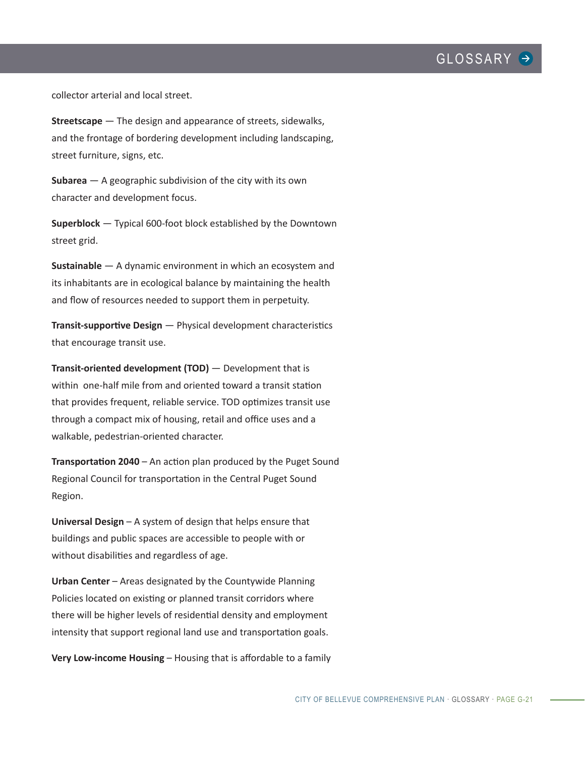

collector arterial and local street.

**Streetscape** — The design and appearance of streets, sidewalks, and the frontage of bordering development including landscaping, street furniture, signs, etc.

**Subarea** — A geographic subdivision of the city with its own character and development focus.

**Superblock** — Typical 600-foot block established by the Downtown street grid.

**Sustainable** — A dynamic environment in which an ecosystem and its inhabitants are in ecological balance by maintaining the health and flow of resources needed to support them in perpetuity.

**Transit-supportive Design** — Physical development characteristics that encourage transit use.

**Transit-oriented development (TOD)** — Development that is within one-half mile from and oriented toward a transit station that provides frequent, reliable service. TOD optimizes transit use through a compact mix of housing, retail and office uses and a walkable, pedestrian-oriented character.

**Transportation 2040** – An action plan produced by the Puget Sound Regional Council for transportation in the Central Puget Sound Region.

**Universal Design** – A system of design that helps ensure that buildings and public spaces are accessible to people with or without disabilities and regardless of age.

**Urban Center** – Areas designated by the Countywide Planning Policies located on existing or planned transit corridors where there will be higher levels of residential density and employment intensity that support regional land use and transportation goals.

**Very Low-income Housing** – Housing that is affordable to a family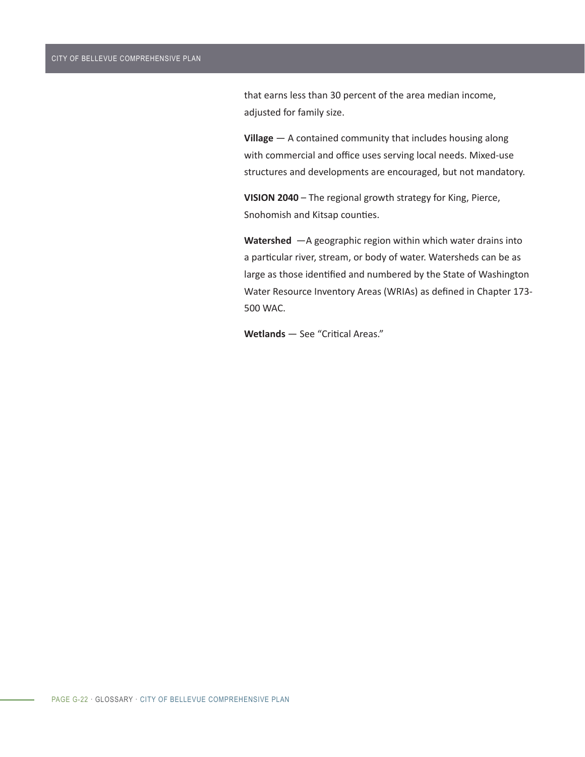that earns less than 30 percent of the area median income, adjusted for family size.

**Village** — A contained community that includes housing along with commercial and office uses serving local needs. Mixed-use structures and developments are encouraged, but not mandatory.

**VISION 2040** – The regional growth strategy for King, Pierce, Snohomish and Kitsap counties.

**Watershed** —A geographic region within which water drains into a particular river, stream, or body of water. Watersheds can be as large as those identified and numbered by the State of Washington Water Resource Inventory Areas (WRIAs) as defined in Chapter 173- 500 WAC.

**Wetlands** — See "Critical Areas."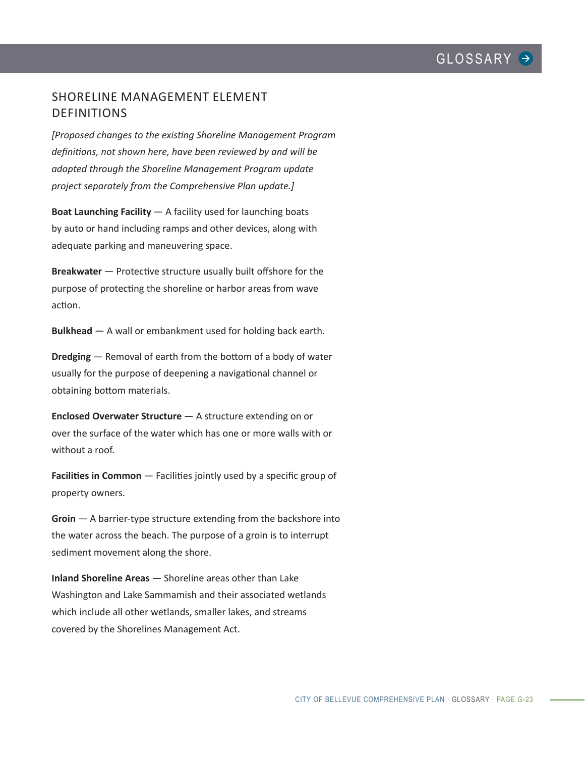# SHORELINE MANAGEMENT ELEMENT DEFINITIONS

*[Proposed changes to the existing Shoreline Management Program definitions, not shown here, have been reviewed by and will be adopted through the Shoreline Management Program update project separately from the Comprehensive Plan update.]*

**Boat Launching Facility** — A facility used for launching boats by auto or hand including ramps and other devices, along with adequate parking and maneuvering space.

**Breakwater** — Protective structure usually built offshore for the purpose of protecting the shoreline or harbor areas from wave action.

**Bulkhead** — A wall or embankment used for holding back earth.

**Dredging** — Removal of earth from the bottom of a body of water usually for the purpose of deepening a navigational channel or obtaining bottom materials.

**Enclosed Overwater Structure** — A structure extending on or over the surface of the water which has one or more walls with or without a roof.

**Facilities in Common** — Facilities jointly used by a specific group of property owners.

**Groin** — A barrier-type structure extending from the backshore into the water across the beach. The purpose of a groin is to interrupt sediment movement along the shore.

**Inland Shoreline Areas** — Shoreline areas other than Lake Washington and Lake Sammamish and their associated wetlands which include all other wetlands, smaller lakes, and streams covered by the Shorelines Management Act.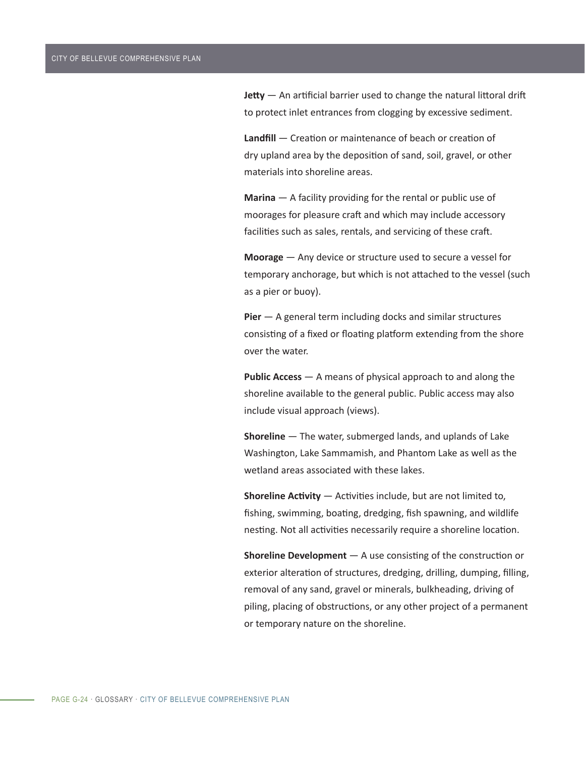**Jetty** — An artificial barrier used to change the natural littoral drift to protect inlet entrances from clogging by excessive sediment.

**Landfill** — Creation or maintenance of beach or creation of dry upland area by the deposition of sand, soil, gravel, or other materials into shoreline areas.

**Marina** — A facility providing for the rental or public use of moorages for pleasure craft and which may include accessory facilities such as sales, rentals, and servicing of these craft.

**Moorage** — Any device or structure used to secure a vessel for temporary anchorage, but which is not attached to the vessel (such as a pier or buoy).

**Pier** — A general term including docks and similar structures consisting of a fixed or floating platform extending from the shore over the water.

**Public Access** — A means of physical approach to and along the shoreline available to the general public. Public access may also include visual approach (views).

**Shoreline** — The water, submerged lands, and uplands of Lake Washington, Lake Sammamish, and Phantom Lake as well as the wetland areas associated with these lakes.

**Shoreline Activity** — Activities include, but are not limited to, fishing, swimming, boating, dredging, fish spawning, and wildlife nesting. Not all activities necessarily require a shoreline location.

**Shoreline Development** — A use consisting of the construction or exterior alteration of structures, dredging, drilling, dumping, filling, removal of any sand, gravel or minerals, bulkheading, driving of piling, placing of obstructions, or any other project of a permanent or temporary nature on the shoreline.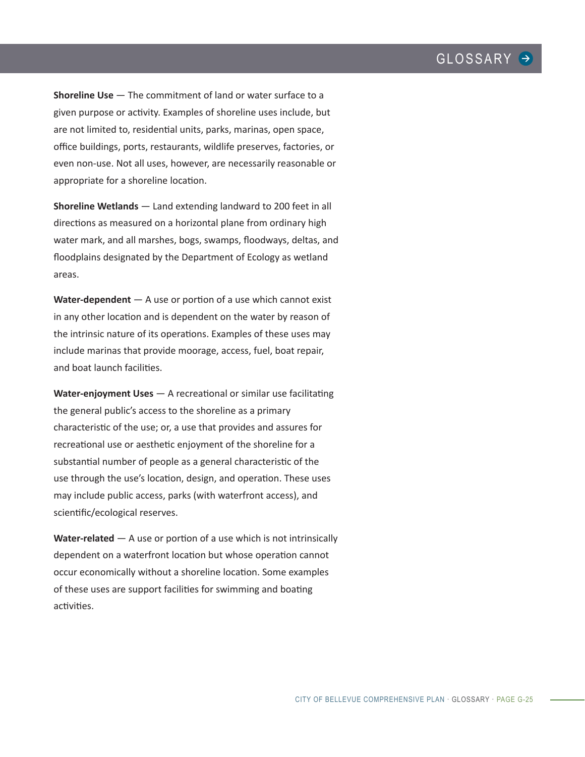**Shoreline Use** – The commitment of land or water surface to a given purpose or activity. Examples of shoreline uses include, but are not limited to, residential units, parks, marinas, open space, office buildings, ports, restaurants, wildlife preserves, factories, or even non-use. Not all uses, however, are necessarily reasonable or appropriate for a shoreline location.

**Shoreline Wetlands** — Land extending landward to 200 feet in all directions as measured on a horizontal plane from ordinary high water mark, and all marshes, bogs, swamps, floodways, deltas, and floodplains designated by the Department of Ecology as wetland areas.

**Water-dependent** — A use or portion of a use which cannot exist in any other location and is dependent on the water by reason of the intrinsic nature of its operations. Examples of these uses may include marinas that provide moorage, access, fuel, boat repair, and boat launch facilities.

**Water-enjoyment Uses** — A recreational or similar use facilitating the general public's access to the shoreline as a primary characteristic of the use; or, a use that provides and assures for recreational use or aesthetic enjoyment of the shoreline for a substantial number of people as a general characteristic of the use through the use's location, design, and operation. These uses may include public access, parks (with waterfront access), and scientific/ecological reserves.

**Water-related** — A use or portion of a use which is not intrinsically dependent on a waterfront location but whose operation cannot occur economically without a shoreline location. Some examples of these uses are support facilities for swimming and boating activities.